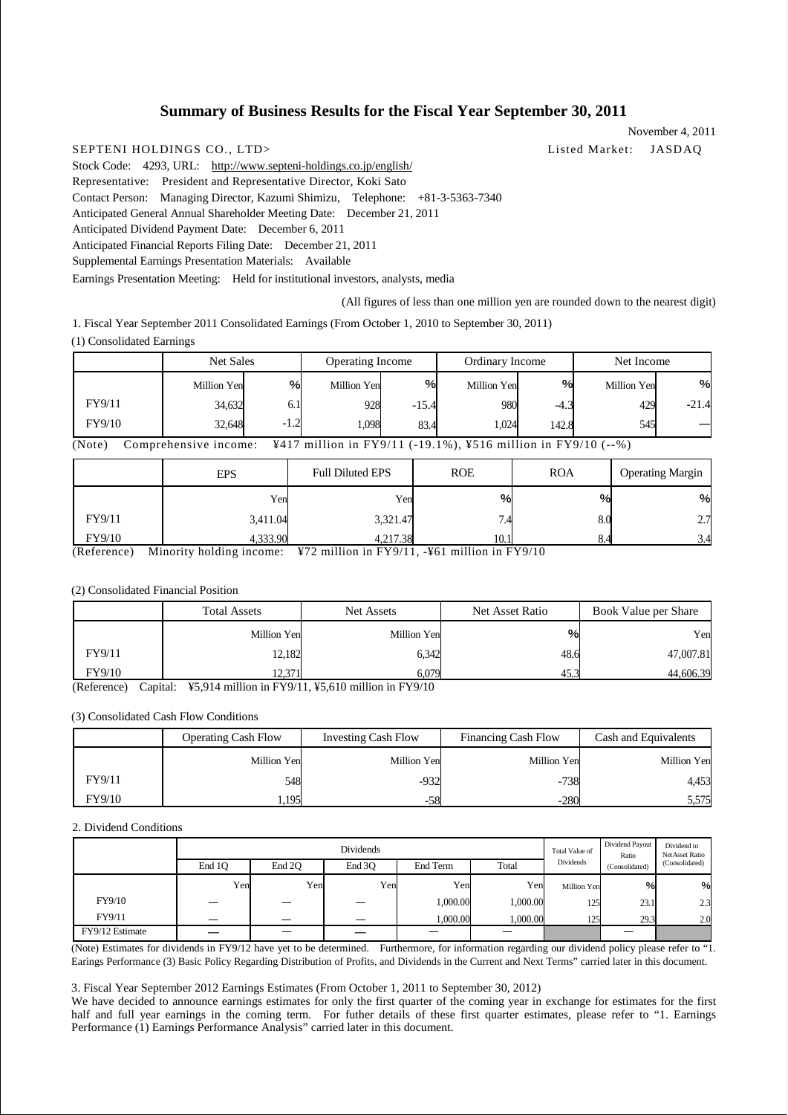# **Summary of Business Results for the Fiscal Year September 30, 2011**

SEPTENI HOLDINGS CO., LTD> Listed Market: JASDAQ Stock Code: 4293, URL: http://www.septeni-holdings.co.jp/english/ Representative: President and Representative Director, Koki Sato Contact Person: Managing Director, Kazumi Shimizu, Telephone: +81-3-5363-7340 Anticipated General Annual Shareholder Meeting Date: December 21, 2011 Anticipated Dividend Payment Date: December 6, 2011 Anticipated Financial Reports Filing Date: December 21, 2011 Supplemental Earnings Presentation Materials: Available Earnings Presentation Meeting: Held for institutional investors, analysts, media

(All figures of less than one million yen are rounded down to the nearest digit)

7.4

8.0 8.4

 $\mathbf{Q}_0$ 2.7 3.4

November 4, 2011

1. Fiscal Year September 2011 Consolidated Earnings (From October 1, 2010 to September 30, 2011) (1) Consolidated Earnings

|                                                                                                  | Net Sales   |        | <b>Operating Income</b> |         | Ordinary Income |        | Net Income  |         |
|--------------------------------------------------------------------------------------------------|-------------|--------|-------------------------|---------|-----------------|--------|-------------|---------|
|                                                                                                  | Million Yen | $\%$   | Million Yen             | %       | Million Yen     | $\%$   | Million Yen | %       |
| FY9/11                                                                                           | 34,632      | 6.1    | 928                     | $-15.4$ | 980             | $-4.3$ | 429         | $-21.4$ |
| FY9/10                                                                                           | 32.648      | $-1.2$ | 1.098                   | 83.4    | 1.024           | 142.8  | 545         |         |
| ¥417 million in FY9/11 (-19.1%), ¥516 million in FY9/10 (--%)<br>(Note)<br>Comprehensive income: |             |        |                         |         |                 |        |             |         |

EPS Full Diluted EPS ROE ROA Operating Margin Yen Yen %  $\frac{1}{\sqrt{2}}$ 

> 3,321.47 4.217

10.1 (Reference) Minority holding income: ¥72 million in FY9/11, -¥61 million in FY9/10

3,411.04 4,333.90

#### (2) Consolidated Financial Position

FY9/11 FY9/10

|                                          | <b>Total Assets</b>        | Net Assets                                                    | Net Asset Ratio | Book Value per Share |
|------------------------------------------|----------------------------|---------------------------------------------------------------|-----------------|----------------------|
|                                          | Million Yen                | Million Yen                                                   | $\%$            | Yen                  |
| FY9/11                                   | 12,182                     | 6.342                                                         | 48.6            | 47,007.81            |
| FY9/10<br>$\sim$<br>$\sim$ $\sim$ $\sim$ | 12.271<br><br>$T/T = 0.44$ | 6.079<br>$T1170/111.777 - 210.711$<br>$T^*$ $T^*$ $T^*$ $T^*$ | 45.3            | 44,606.39            |

(Reference) Capital: ¥5,914 million in FY9/11, ¥5,610 million in FY9/10

#### (3) Consolidated Cash Flow Conditions

|        | <b>Operating Cash Flow</b> | <b>Investing Cash Flow</b> | <b>Financing Cash Flow</b> | Cash and Equivalents |
|--------|----------------------------|----------------------------|----------------------------|----------------------|
|        | Million Yen                | Million Yen                | Million Yen                | Million Yen          |
| FY9/11 | 548                        | $-932$                     | $-738$                     | 4,453                |
| FY9/10 | .195                       | -58                        | $-280$                     | 5,575                |

#### 2. Dividend Conditions

|                 | <b>Dividends</b> |        |        | Total Value of | Dividend Payout<br>Ratio | Dividend to<br><b>NetAsset Ratio</b> |                |                |
|-----------------|------------------|--------|--------|----------------|--------------------------|--------------------------------------|----------------|----------------|
|                 | End 1O           | End 2O | End 3O | End Term       | Total                    | Dividends                            | (Consolidated) | (Consolidated) |
|                 | Yen              | Yen    | Yen    | Yen            | Yen                      | Million Yen                          | $\%$           | %              |
| FY9/10          | --               |        |        | 000.00         | 1,000.00                 | 125                                  | 23.1           | 2.3            |
| FY9/11          |                  |        |        | 1,000.00       | 1,000.00                 | 125<br>ست                            | 29.3           | 2.0            |
| FY9/12 Estimate |                  |        |        |                |                          |                                      |                |                |

(Note) Estimates for dividends in FY9/12 have yet to be determined. Furthermore, for information regarding our dividend policy please refer to "1. Earings Performance (3) Basic Policy Regarding Distribution of Profits, and Dividends in the Current and Next Terms" carried later in this document.

3. Fiscal Year September 2012 Earnings Estimates (From October 1, 2011 to September 30, 2012)

We have decided to announce earnings estimates for only the first quarter of the coming year in exchange for estimates for the first half and full year earnings in the coming term. For futher details of these first quarter estimates, please refer to "1. Earnings Performance (1) Earnings Performance Analysis" carried later in this document.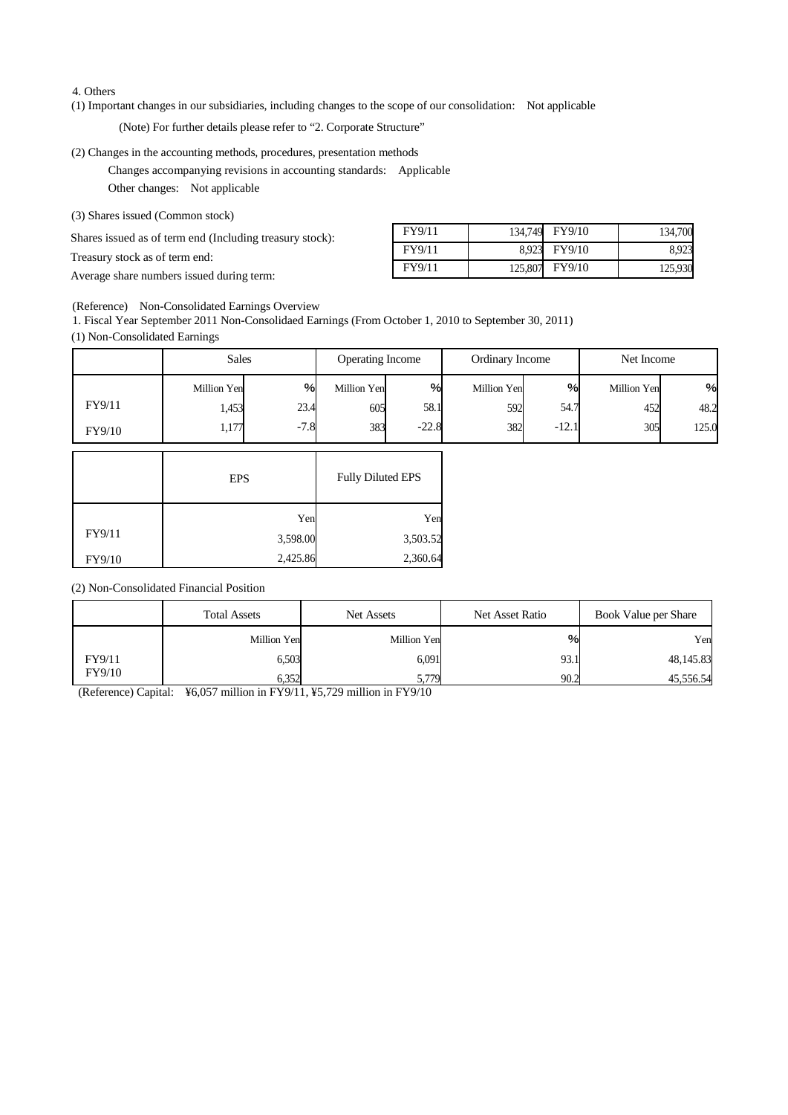#### 4. Others

(1) Important changes in our subsidiaries, including changes to the scope of our consolidation: Not applicable

(Note) For further details please refer to "2. Corporate Structure"

### (2) Changes in the accounting methods, procedures, presentation methods

Changes accompanying revisions in accounting standards: Applicable Other changes: Not applicable

(3) Shares issued (Common stock)

Shares issued as of term end (Including treasury stock):

Treasury stock as of term end:

Average share numbers issued during term:

| FY9/11 | 134,749 FY9/10 | 134,700 |
|--------|----------------|---------|
| FY9/11 | 8,923 FY9/10   | 8.923   |
| FY9/11 | 125,807 FY9/10 | 125,930 |

(Reference) Non-Consolidated Earnings Overview

1. Fiscal Year September 2011 Non-Consolidaed Earnings (From October 1, 2010 to September 30, 2011) (1) Non-Consolidated Earnings

|        | <b>Sales</b> |        | Operating Income |         | Ordinary Income |         | Net Income  |       |
|--------|--------------|--------|------------------|---------|-----------------|---------|-------------|-------|
|        | Million Yen  | $\%$   | Million Yen      | %       | Million Yen     | %       | Million Yen | %     |
| FY9/11 | 1,453        | 23.4   | 605              | 58.1    | 592             | 54.7    | 452         | 48.2  |
| FY9/10 | 1,177        | $-7.8$ | 383              | $-22.8$ | 382             | $-12.1$ | 305         | 125.0 |

|        | <b>EPS</b> | <b>Fully Diluted EPS</b> |
|--------|------------|--------------------------|
|        | Yen        | Yen                      |
| FY9/11 | 3,598.00   | 3,503.52                 |
| FY9/10 | 2,425.86   | 2,360.64                 |

(2) Non-Consolidated Financial Position

|        | <b>Total Assets</b> | Net Assets  | Net Asset Ratio | Book Value per Share |
|--------|---------------------|-------------|-----------------|----------------------|
|        | Million Yen         | Million Yen | $\%$            | Yen                  |
| FY9/11 | 6,503               | 6,091       | 93.1            | 48,145.83            |
| FY9/10 | 6.352               | 5,779       | 90.2            | 45,556.54            |

(Reference) Capital: ¥6,057 million in FY9/11, ¥5,729 million in FY9/10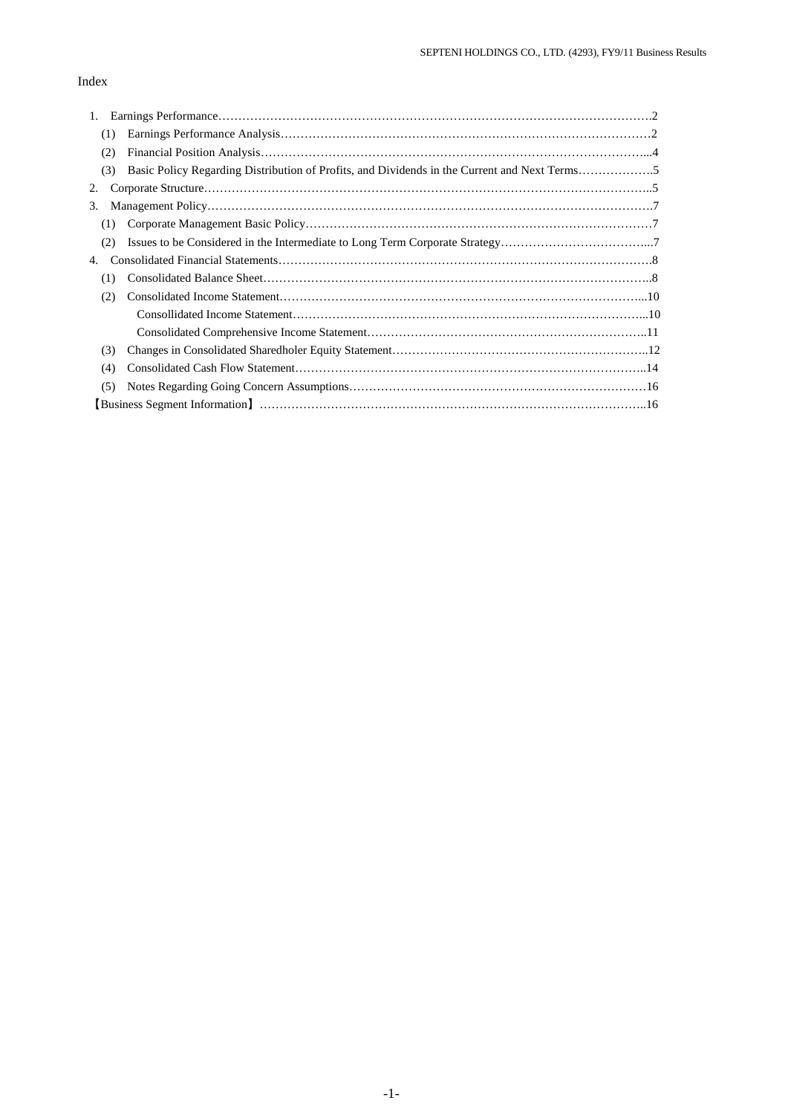# Index

| 1.                                                                                                  |
|-----------------------------------------------------------------------------------------------------|
| (1)                                                                                                 |
| (2)                                                                                                 |
| Basic Policy Regarding Distribution of Profits, and Dividends in the Current and Next Terms5<br>(3) |
| 2.                                                                                                  |
| 3.                                                                                                  |
| (1)                                                                                                 |
| (2)                                                                                                 |
| 4.                                                                                                  |
| (1)                                                                                                 |
| (2)                                                                                                 |
|                                                                                                     |
|                                                                                                     |
| (3)                                                                                                 |
| (4)                                                                                                 |
| (5)                                                                                                 |
|                                                                                                     |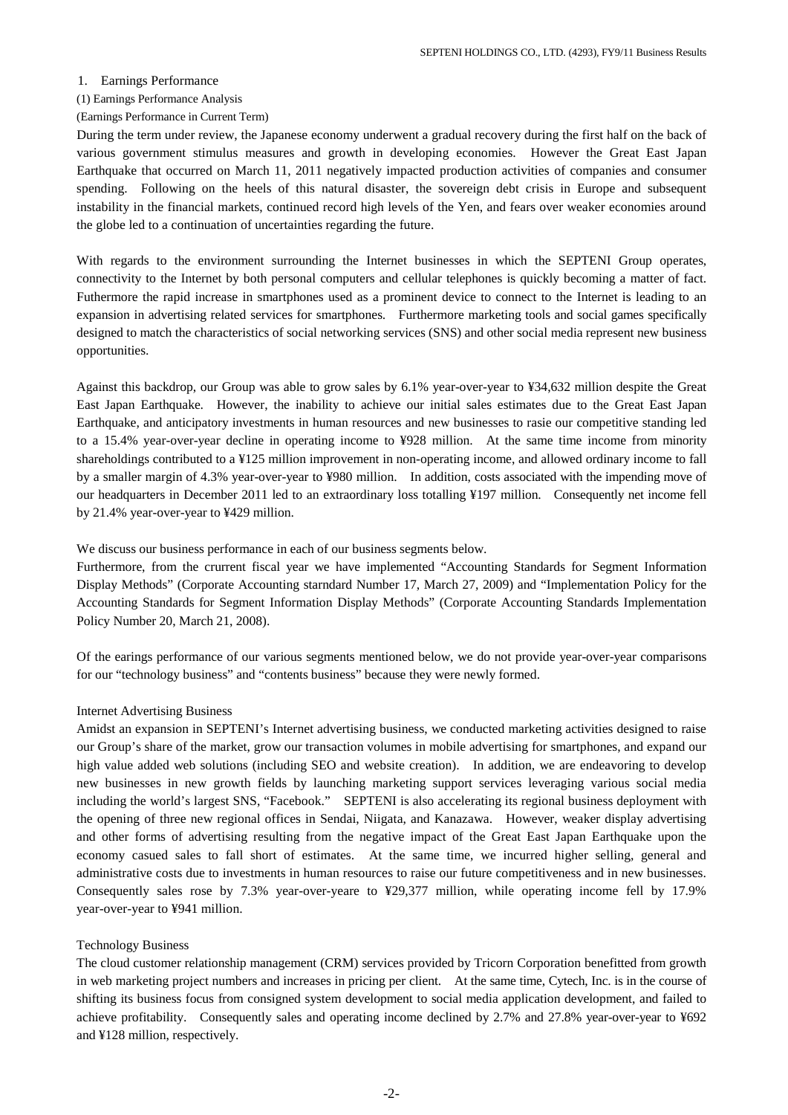#### 1. Earnings Performance

## (1) Earnings Performance Analysis

#### (Earnings Performance in Current Term)

During the term under review, the Japanese economy underwent a gradual recovery during the first half on the back of various government stimulus measures and growth in developing economies. However the Great East Japan Earthquake that occurred on March 11, 2011 negatively impacted production activities of companies and consumer spending. Following on the heels of this natural disaster, the sovereign debt crisis in Europe and subsequent instability in the financial markets, continued record high levels of the Yen, and fears over weaker economies around the globe led to a continuation of uncertainties regarding the future.

With regards to the environment surrounding the Internet businesses in which the SEPTENI Group operates, connectivity to the Internet by both personal computers and cellular telephones is quickly becoming a matter of fact. Futhermore the rapid increase in smartphones used as a prominent device to connect to the Internet is leading to an expansion in advertising related services for smartphones. Furthermore marketing tools and social games specifically designed to match the characteristics of social networking services (SNS) and other social media represent new business opportunities.

Against this backdrop, our Group was able to grow sales by 6.1% year-over-year to ¥34,632 million despite the Great East Japan Earthquake. However, the inability to achieve our initial sales estimates due to the Great East Japan Earthquake, and anticipatory investments in human resources and new businesses to rasie our competitive standing led to a 15.4% year-over-year decline in operating income to ¥928 million. At the same time income from minority shareholdings contributed to a ¥125 million improvement in non-operating income, and allowed ordinary income to fall by a smaller margin of 4.3% year-over-year to ¥980 million. In addition, costs associated with the impending move of our headquarters in December 2011 led to an extraordinary loss totalling ¥197 million. Consequently net income fell by 21.4% year-over-year to ¥429 million.

We discuss our business performance in each of our business segments below.

Furthermore, from the crurrent fiscal year we have implemented "Accounting Standards for Segment Information Display Methods" (Corporate Accounting starndard Number 17, March 27, 2009) and "Implementation Policy for the Accounting Standards for Segment Information Display Methods" (Corporate Accounting Standards Implementation Policy Number 20, March 21, 2008).

Of the earings performance of our various segments mentioned below, we do not provide year-over-year comparisons for our "technology business" and "contents business" because they were newly formed.

#### Internet Advertising Business

Amidst an expansion in SEPTENI's Internet advertising business, we conducted marketing activities designed to raise our Group's share of the market, grow our transaction volumes in mobile advertising for smartphones, and expand our high value added web solutions (including SEO and website creation). In addition, we are endeavoring to develop new businesses in new growth fields by launching marketing support services leveraging various social media including the world's largest SNS, "Facebook." SEPTENI is also accelerating its regional business deployment with the opening of three new regional offices in Sendai, Niigata, and Kanazawa. However, weaker display advertising and other forms of advertising resulting from the negative impact of the Great East Japan Earthquake upon the economy casued sales to fall short of estimates. At the same time, we incurred higher selling, general and administrative costs due to investments in human resources to raise our future competitiveness and in new businesses. Consequently sales rose by 7.3% year-over-yeare to ¥29,377 million, while operating income fell by 17.9% year-over-year to ¥941 million.

#### Technology Business

The cloud customer relationship management (CRM) services provided by Tricorn Corporation benefitted from growth in web marketing project numbers and increases in pricing per client. At the same time, Cytech, Inc. is in the course of shifting its business focus from consigned system development to social media application development, and failed to achieve profitability. Consequently sales and operating income declined by 2.7% and 27.8% year-over-year to ¥692 and ¥128 million, respectively.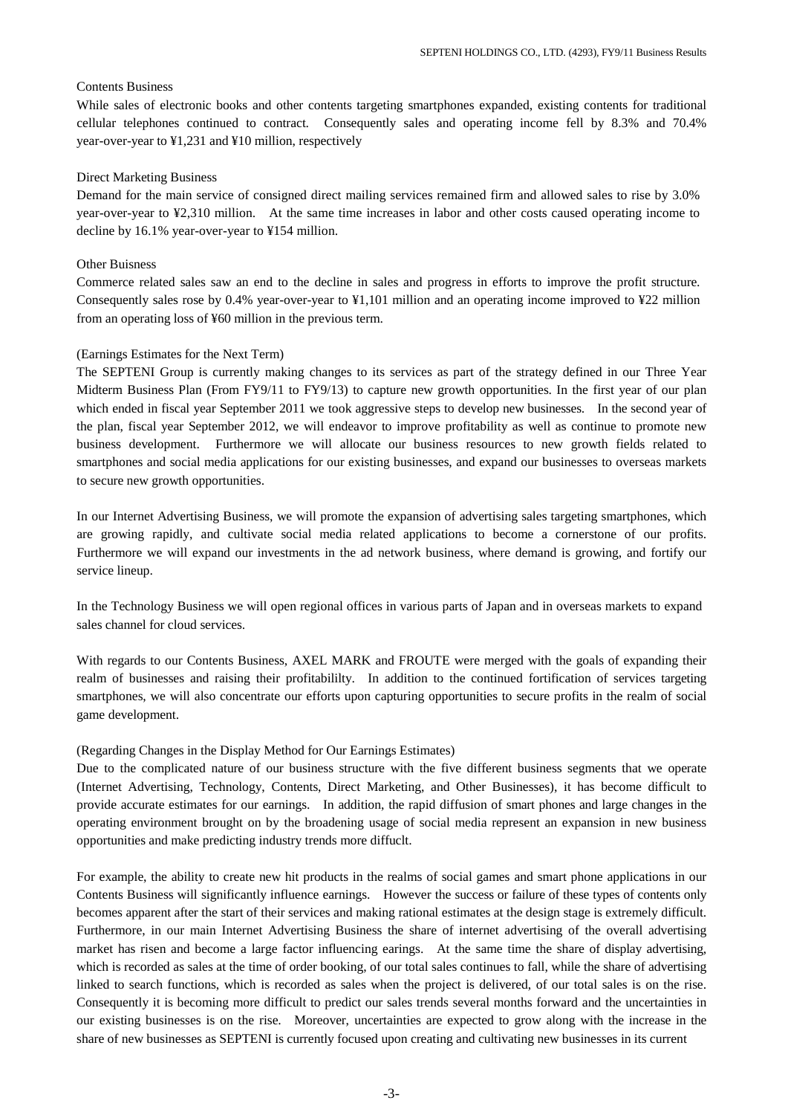### Contents Business

While sales of electronic books and other contents targeting smartphones expanded, existing contents for traditional cellular telephones continued to contract. Consequently sales and operating income fell by 8.3% and 70.4% year-over-year to ¥1,231 and ¥10 million, respectively

### Direct Marketing Business

Demand for the main service of consigned direct mailing services remained firm and allowed sales to rise by 3.0% year-over-year to ¥2,310 million. At the same time increases in labor and other costs caused operating income to decline by 16.1% year-over-year to ¥154 million.

#### Other Buisness

Commerce related sales saw an end to the decline in sales and progress in efforts to improve the profit structure. Consequently sales rose by 0.4% year-over-year to  $\frac{1}{4}1,101$  million and an operating income improved to  $\frac{1}{2}22$  million from an operating loss of ¥60 million in the previous term.

### (Earnings Estimates for the Next Term)

The SEPTENI Group is currently making changes to its services as part of the strategy defined in our Three Year Midterm Business Plan (From FY9/11 to FY9/13) to capture new growth opportunities. In the first year of our plan which ended in fiscal year September 2011 we took aggressive steps to develop new businesses. In the second year of the plan, fiscal year September 2012, we will endeavor to improve profitability as well as continue to promote new business development. Furthermore we will allocate our business resources to new growth fields related to smartphones and social media applications for our existing businesses, and expand our businesses to overseas markets to secure new growth opportunities.

In our Internet Advertising Business, we will promote the expansion of advertising sales targeting smartphones, which are growing rapidly, and cultivate social media related applications to become a cornerstone of our profits. Furthermore we will expand our investments in the ad network business, where demand is growing, and fortify our service lineup.

In the Technology Business we will open regional offices in various parts of Japan and in overseas markets to expand sales channel for cloud services.

With regards to our Contents Business, AXEL MARK and FROUTE were merged with the goals of expanding their realm of businesses and raising their profitabililty. In addition to the continued fortification of services targeting smartphones, we will also concentrate our efforts upon capturing opportunities to secure profits in the realm of social game development.

## (Regarding Changes in the Display Method for Our Earnings Estimates)

Due to the complicated nature of our business structure with the five different business segments that we operate (Internet Advertising, Technology, Contents, Direct Marketing, and Other Businesses), it has become difficult to provide accurate estimates for our earnings. In addition, the rapid diffusion of smart phones and large changes in the operating environment brought on by the broadening usage of social media represent an expansion in new business opportunities and make predicting industry trends more diffuclt.

For example, the ability to create new hit products in the realms of social games and smart phone applications in our Contents Business will significantly influence earnings. However the success or failure of these types of contents only becomes apparent after the start of their services and making rational estimates at the design stage is extremely difficult. Furthermore, in our main Internet Advertising Business the share of internet advertising of the overall advertising market has risen and become a large factor influencing earings. At the same time the share of display advertising, which is recorded as sales at the time of order booking, of our total sales continues to fall, while the share of advertising linked to search functions, which is recorded as sales when the project is delivered, of our total sales is on the rise. Consequently it is becoming more difficult to predict our sales trends several months forward and the uncertainties in our existing businesses is on the rise. Moreover, uncertainties are expected to grow along with the increase in the share of new businesses as SEPTENI is currently focused upon creating and cultivating new businesses in its current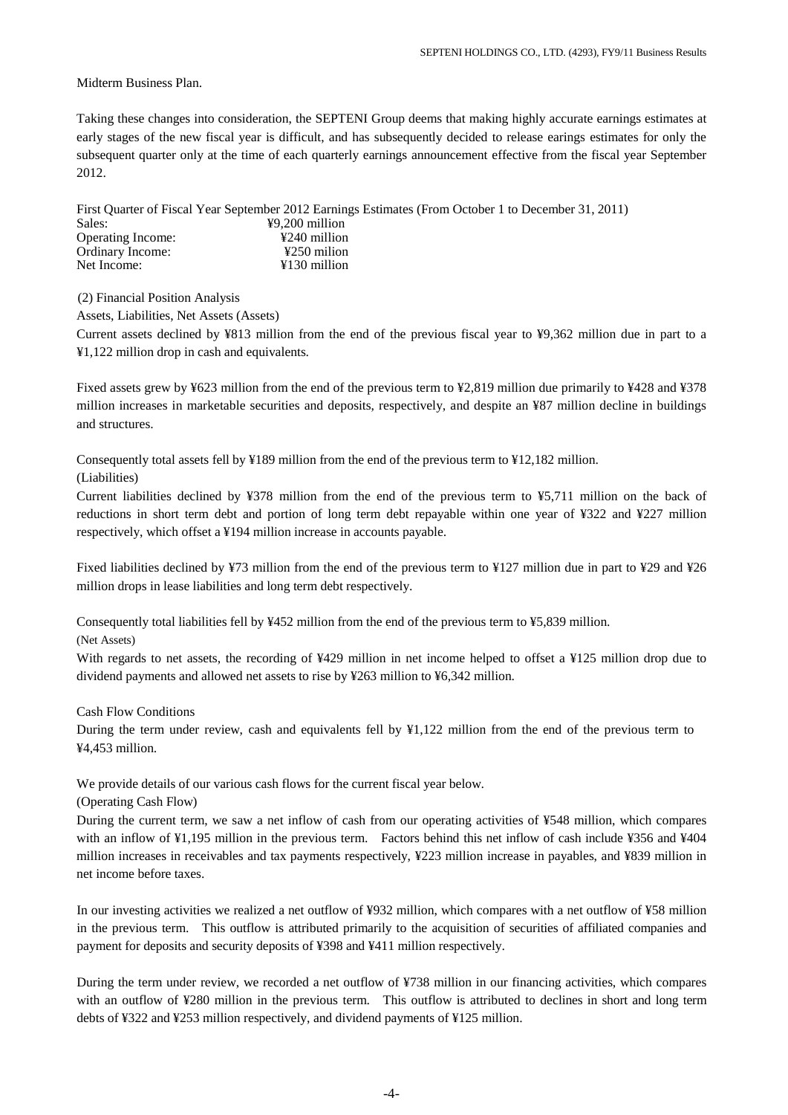Midterm Business Plan.

Taking these changes into consideration, the SEPTENI Group deems that making highly accurate earnings estimates at early stages of the new fiscal year is difficult, and has subsequently decided to release earings estimates for only the subsequent quarter only at the time of each quarterly earnings announcement effective from the fiscal year September 2012.

First Quarter of Fiscal Year September 2012 Earnings Estimates (From October 1 to December 31, 2011)  $\frac{49,200}{4240}$  million Operating Income:  $\frac{$240 \text{ million}}{250 \text{ million}}$ Ordinary Income: Net Income:  $\angle$  ¥130 million

(2) Financial Position Analysis

Assets, Liabilities, Net Assets (Assets)

Current assets declined by ¥813 million from the end of the previous fiscal year to ¥9,362 million due in part to a ¥1,122 million drop in cash and equivalents.

Fixed assets grew by ¥623 million from the end of the previous term to ¥2,819 million due primarily to ¥428 and ¥378 million increases in marketable securities and deposits, respectively, and despite an ¥87 million decline in buildings and structures.

Consequently total assets fell by ¥189 million from the end of the previous term to ¥12,182 million.

(Liabilities)

Current liabilities declined by ¥378 million from the end of the previous term to ¥5,711 million on the back of reductions in short term debt and portion of long term debt repayable within one year of ¥322 and ¥227 million respectively, which offset a ¥194 million increase in accounts payable.

Fixed liabilities declined by ¥73 million from the end of the previous term to ¥127 million due in part to ¥29 and ¥26 million drops in lease liabilities and long term debt respectively.

Consequently total liabilities fell by ¥452 million from the end of the previous term to ¥5,839 million.

(Net Assets)

With regards to net assets, the recording of ¥429 million in net income helped to offset a ¥125 million drop due to dividend payments and allowed net assets to rise by ¥263 million to ¥6,342 million.

Cash Flow Conditions

During the term under review, cash and equivalents fell by ¥1,122 million from the end of the previous term to ¥4,453 million.

We provide details of our various cash flows for the current fiscal year below.

(Operating Cash Flow)

During the current term, we saw a net inflow of cash from our operating activities of ¥548 million, which compares with an inflow of ¥1,195 million in the previous term. Factors behind this net inflow of cash include ¥356 and ¥404 million increases in receivables and tax payments respectively, ¥223 million increase in payables, and ¥839 million in net income before taxes.

In our investing activities we realized a net outflow of ¥932 million, which compares with a net outflow of ¥58 million in the previous term. This outflow is attributed primarily to the acquisition of securities of affiliated companies and payment for deposits and security deposits of ¥398 and ¥411 million respectively.

During the term under review, we recorded a net outflow of ¥738 million in our financing activities, which compares with an outflow of ¥280 million in the previous term. This outflow is attributed to declines in short and long term debts of ¥322 and ¥253 million respectively, and dividend payments of ¥125 million.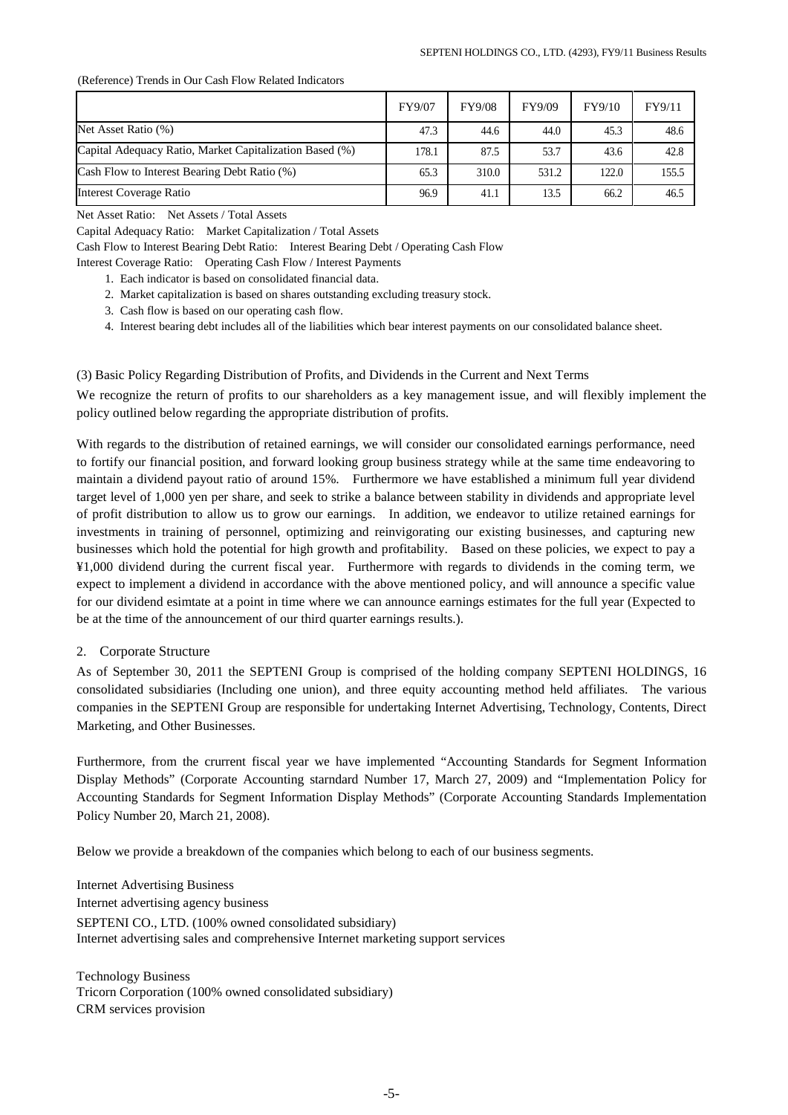(Reference) Trends in Our Cash Flow Related Indicators

|                                                         | FY9/07 | <b>FY9/08</b> | FY9/09 | FY9/10 | FY9/11 |
|---------------------------------------------------------|--------|---------------|--------|--------|--------|
| Net Asset Ratio (%)                                     | 47.3   | 44.6          | 44.0   | 45.3   | 48.6   |
| Capital Adequacy Ratio, Market Capitalization Based (%) | 178.1  | 87.5          | 53.7   | 43.6   | 42.8   |
| Cash Flow to Interest Bearing Debt Ratio (%)            | 65.3   | 310.0         | 531.2  | 122.0  | 155.5  |
| <b>Interest Coverage Ratio</b>                          | 96.9   | 41.1          | 13.5   | 66.2   | 46.5   |

Net Asset Ratio: Net Assets / Total Assets

Capital Adequacy Ratio: Market Capitalization / Total Assets

Cash Flow to Interest Bearing Debt Ratio: Interest Bearing Debt / Operating Cash Flow

Interest Coverage Ratio: Operating Cash Flow / Interest Payments

- 1. Each indicator is based on consolidated financial data.
- 2. Market capitalization is based on shares outstanding excluding treasury stock.
- 3. Cash flow is based on our operating cash flow.
- 4. Interest bearing debt includes all of the liabilities which bear interest payments on our consolidated balance sheet.

(3) Basic Policy Regarding Distribution of Profits, and Dividends in the Current and Next Terms

We recognize the return of profits to our shareholders as a key management issue, and will flexibly implement the policy outlined below regarding the appropriate distribution of profits.

With regards to the distribution of retained earnings, we will consider our consolidated earnings performance, need to fortify our financial position, and forward looking group business strategy while at the same time endeavoring to maintain a dividend payout ratio of around 15%. Furthermore we have established a minimum full year dividend target level of 1,000 yen per share, and seek to strike a balance between stability in dividends and appropriate level of profit distribution to allow us to grow our earnings. In addition, we endeavor to utilize retained earnings for investments in training of personnel, optimizing and reinvigorating our existing businesses, and capturing new businesses which hold the potential for high growth and profitability. Based on these policies, we expect to pay a ¥1,000 dividend during the current fiscal year. Furthermore with regards to dividends in the coming term, we expect to implement a dividend in accordance with the above mentioned policy, and will announce a specific value for our dividend esimtate at a point in time where we can announce earnings estimates for the full year (Expected to be at the time of the announcement of our third quarter earnings results.).

## 2. Corporate Structure

As of September 30, 2011 the SEPTENI Group is comprised of the holding company SEPTENI HOLDINGS, 16 consolidated subsidiaries (Including one union), and three equity accounting method held affiliates. The various companies in the SEPTENI Group are responsible for undertaking Internet Advertising, Technology, Contents, Direct Marketing, and Other Businesses.

Furthermore, from the crurrent fiscal year we have implemented "Accounting Standards for Segment Information Display Methods" (Corporate Accounting starndard Number 17, March 27, 2009) and "Implementation Policy for Accounting Standards for Segment Information Display Methods" (Corporate Accounting Standards Implementation Policy Number 20, March 21, 2008).

Below we provide a breakdown of the companies which belong to each of our business segments.

Internet Advertising Business Internet advertising agency business SEPTENI CO., LTD. (100% owned consolidated subsidiary) Internet advertising sales and comprehensive Internet marketing support services

Technology Business Tricorn Corporation (100% owned consolidated subsidiary) CRM services provision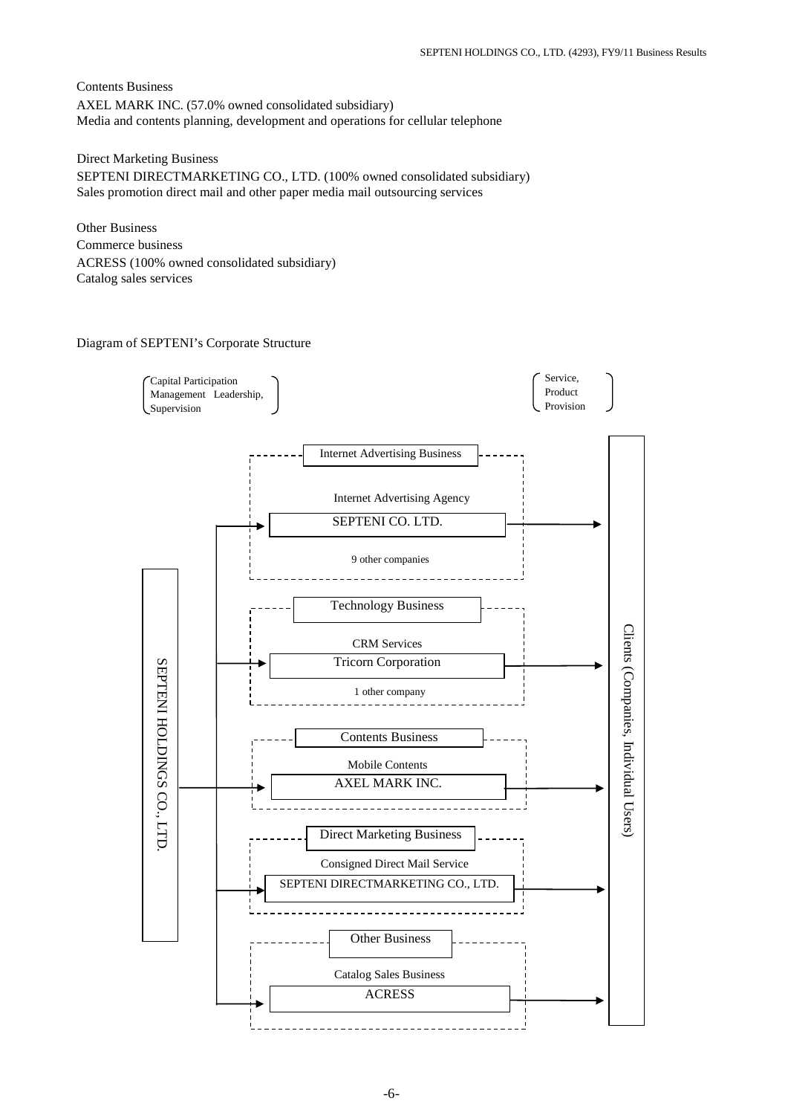Contents Business AXEL MARK INC. (57.0% owned consolidated subsidiary) Media and contents planning, development and operations for cellular telephone

Direct Marketing Business SEPTENI DIRECTMARKETING CO., LTD. (100% owned consolidated subsidiary) Sales promotion direct mail and other paper media mail outsourcing services

Other Business Commerce business ACRESS (100% owned consolidated subsidiary) Catalog sales services

## Diagram of SEPTENI's Corporate Structure

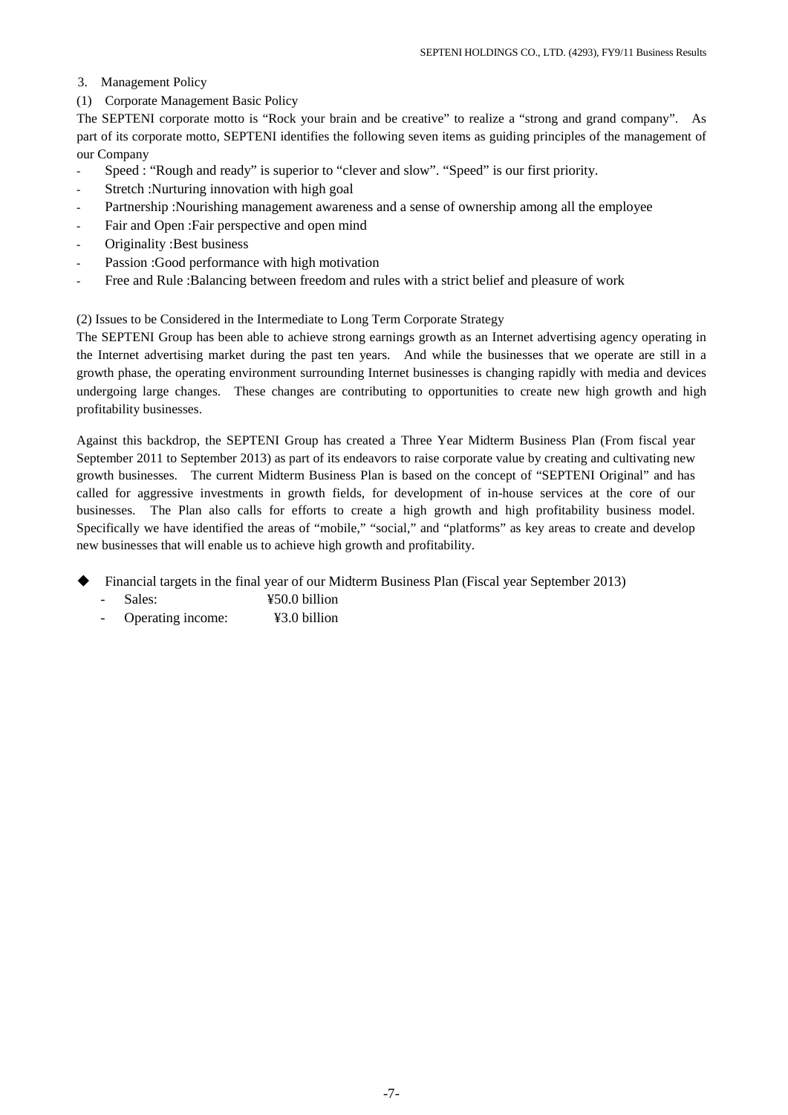- 3. Management Policy
- (1) Corporate Management Basic Policy

The SEPTENI corporate motto is "Rock your brain and be creative" to realize a "strong and grand company". As part of its corporate motto, SEPTENI identifies the following seven items as guiding principles of the management of our Company

- Speed : "Rough and ready" is superior to "clever and slow". "Speed" is our first priority.
- Stretch : Nurturing innovation with high goal
- Partnership :Nourishing management awareness and a sense of ownership among all the employee
- Fair and Open : Fair perspective and open mind
- Originality :Best business
- Passion : Good performance with high motivation
- Free and Rule :Balancing between freedom and rules with a strict belief and pleasure of work

(2) Issues to be Considered in the Intermediate to Long Term Corporate Strategy

The SEPTENI Group has been able to achieve strong earnings growth as an Internet advertising agency operating in the Internet advertising market during the past ten years. And while the businesses that we operate are still in a growth phase, the operating environment surrounding Internet businesses is changing rapidly with media and devices undergoing large changes. These changes are contributing to opportunities to create new high growth and high profitability businesses.

Against this backdrop, the SEPTENI Group has created a Three Year Midterm Business Plan (From fiscal year September 2011 to September 2013) as part of its endeavors to raise corporate value by creating and cultivating new growth businesses. The current Midterm Business Plan is based on the concept of "SEPTENI Original" and has called for aggressive investments in growth fields, for development of in-house services at the core of our businesses. The Plan also calls for efforts to create a high growth and high profitability business model. Specifically we have identified the areas of "mobile," "social," and "platforms" as key areas to create and develop new businesses that will enable us to achieve high growth and profitability.

- Financial targets in the final year of our Midterm Business Plan (Fiscal year September 2013)
	- Sales:  $\frac{\text{y}}{50.0}$  billion
	- Operating income: ¥3.0 billion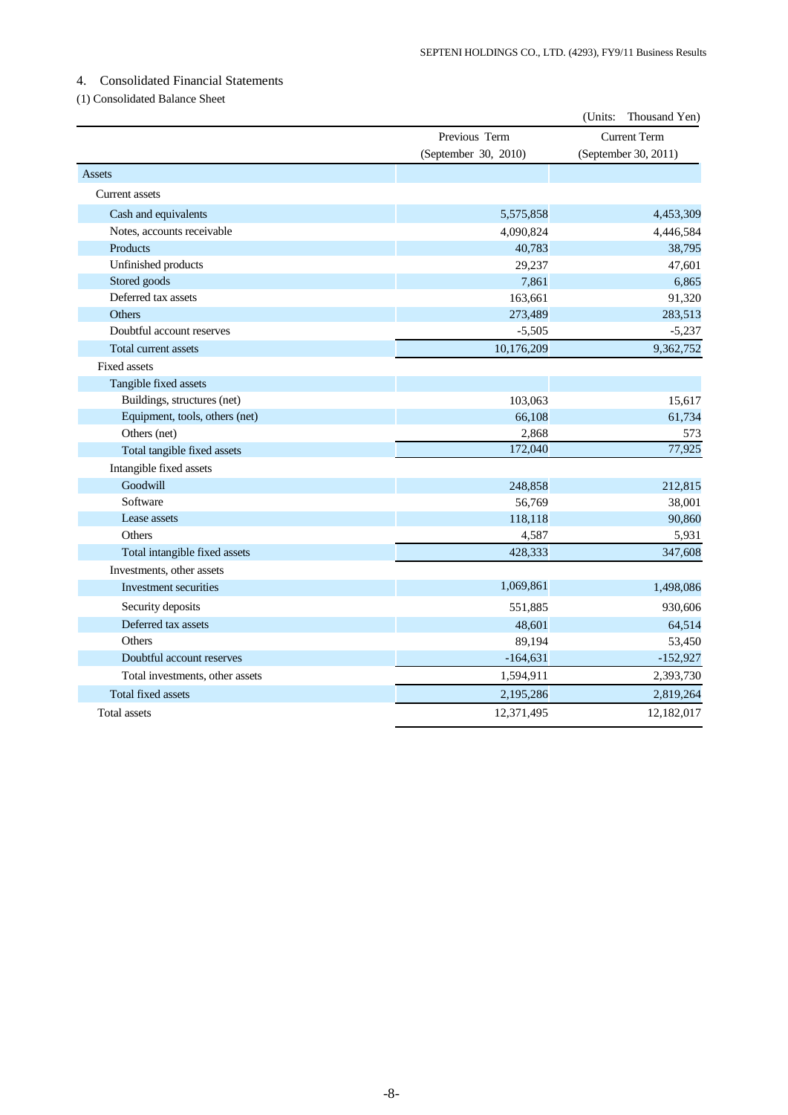## 4. Consolidated Financial Statements

## (1) Consolidated Balance Sheet

|                                 |                      | (Units:<br>Thousand Yen) |
|---------------------------------|----------------------|--------------------------|
|                                 | Previous Term        | <b>Current Term</b>      |
|                                 | (September 30, 2010) | (September 30, 2011)     |
| Assets                          |                      |                          |
| Current assets                  |                      |                          |
| Cash and equivalents            | 5,575,858            | 4,453,309                |
| Notes, accounts receivable      | 4,090,824            | 4,446,584                |
| Products                        | 40,783               | 38,795                   |
| Unfinished products             | 29,237               | 47,601                   |
| Stored goods                    | 7,861                | 6,865                    |
| Deferred tax assets             | 163,661              | 91,320                   |
| Others                          | 273,489              | 283,513                  |
| Doubtful account reserves       | $-5,505$             | $-5,237$                 |
| Total current assets            | 10,176,209           | 9,362,752                |
| <b>Fixed assets</b>             |                      |                          |
| Tangible fixed assets           |                      |                          |
| Buildings, structures (net)     | 103,063              | 15,617                   |
| Equipment, tools, others (net)  | 66,108               | 61,734                   |
| Others (net)                    | 2,868                | 573                      |
| Total tangible fixed assets     | 172,040              | 77,925                   |
| Intangible fixed assets         |                      |                          |
| Goodwill                        | 248,858              | 212,815                  |
| Software                        | 56,769               | 38,001                   |
| Lease assets                    | 118,118              | 90,860                   |
| Others                          | 4,587                | 5,931                    |
| Total intangible fixed assets   | 428,333              | 347,608                  |
| Investments, other assets       |                      |                          |
| Investment securities           | 1,069,861            | 1,498,086                |
| Security deposits               | 551,885              | 930,606                  |
| Deferred tax assets             | 48,601               | 64,514                   |
| Others                          | 89,194               | 53,450                   |
| Doubtful account reserves       | $-164,631$           | $-152,927$               |
| Total investments, other assets | 1,594,911            | 2,393,730                |
| <b>Total fixed assets</b>       | 2,195,286            | 2,819,264                |
| <b>Total assets</b>             | 12,371,495           | 12,182,017               |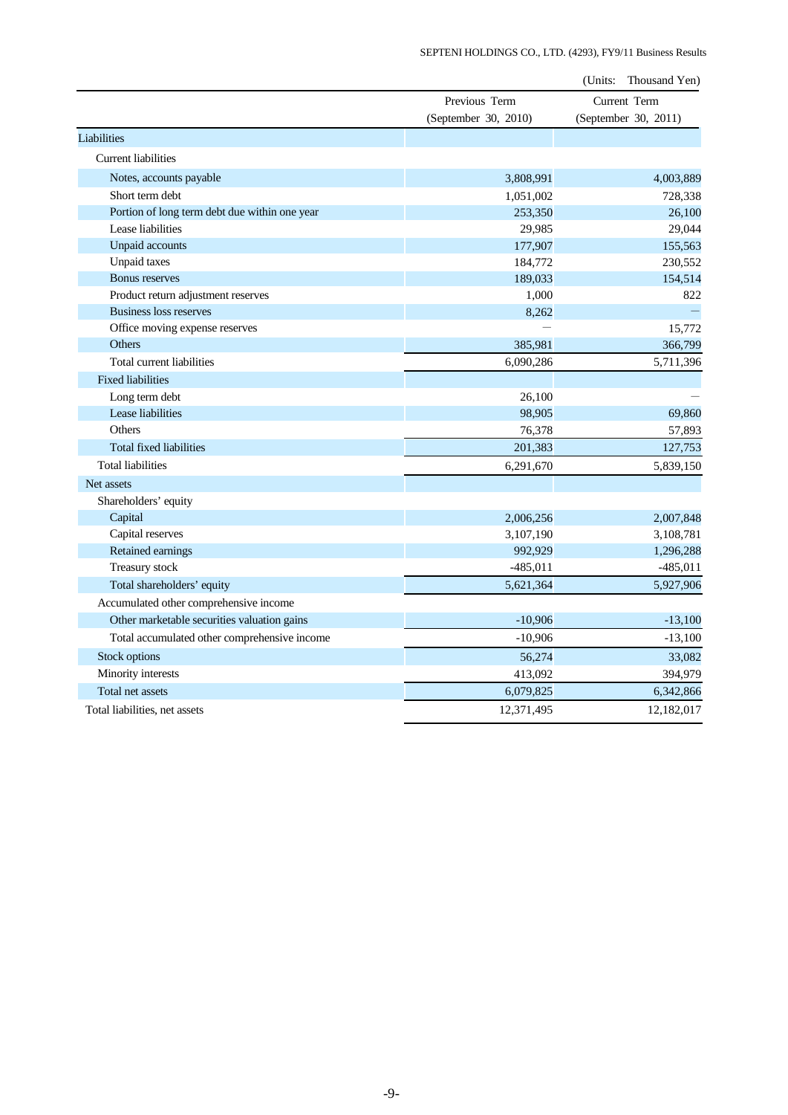|                                               |                      | (Units:<br>Thousand Yen) |
|-----------------------------------------------|----------------------|--------------------------|
|                                               | Previous Term        | Current Term             |
|                                               | (September 30, 2010) | (September 30, 2011)     |
| Liabilities                                   |                      |                          |
| <b>Current liabilities</b>                    |                      |                          |
| Notes, accounts payable                       | 3,808,991            | 4,003,889                |
| Short term debt                               | 1,051,002            | 728,338                  |
| Portion of long term debt due within one year | 253,350              | 26,100                   |
| Lease liabilities                             | 29,985               | 29,044                   |
| Unpaid accounts                               | 177,907              | 155,563                  |
| <b>Unpaid taxes</b>                           | 184,772              | 230,552                  |
| Bonus reserves                                | 189,033              | 154,514                  |
| Product return adjustment reserves            | 1,000                | 822                      |
| <b>Business loss reserves</b>                 | 8,262                |                          |
| Office moving expense reserves                |                      | 15,772                   |
| Others                                        | 385,981              | 366,799                  |
| Total current liabilities                     | 6,090,286            | 5,711,396                |
| <b>Fixed liabilities</b>                      |                      |                          |
| Long term debt                                | 26,100               |                          |
| Lease liabilities                             | 98,905               | 69,860                   |
| Others                                        | 76,378               | 57,893                   |
| Total fixed liabilities                       | 201,383              | 127,753                  |
| <b>Total liabilities</b>                      | 6,291,670            | 5,839,150                |
| Net assets                                    |                      |                          |
| Shareholders' equity                          |                      |                          |
| Capital                                       | 2,006,256            | 2,007,848                |
| Capital reserves                              | 3,107,190            | 3,108,781                |
| Retained earnings                             | 992,929              | 1,296,288                |
| Treasury stock                                | $-485,011$           | $-485,011$               |
| Total shareholders' equity                    | 5,621,364            | 5,927,906                |
| Accumulated other comprehensive income        |                      |                          |
| Other marketable securities valuation gains   | $-10,906$            | $-13,100$                |
| Total accumulated other comprehensive income  | $-10,906$            | $-13,100$                |
| Stock options                                 | 56,274               | 33,082                   |
| Minority interests                            | 413,092              | 394,979                  |
| Total net assets                              | 6,079,825            | 6,342,866                |
| Total liabilities, net assets                 | 12,371,495           | 12,182,017               |
|                                               |                      |                          |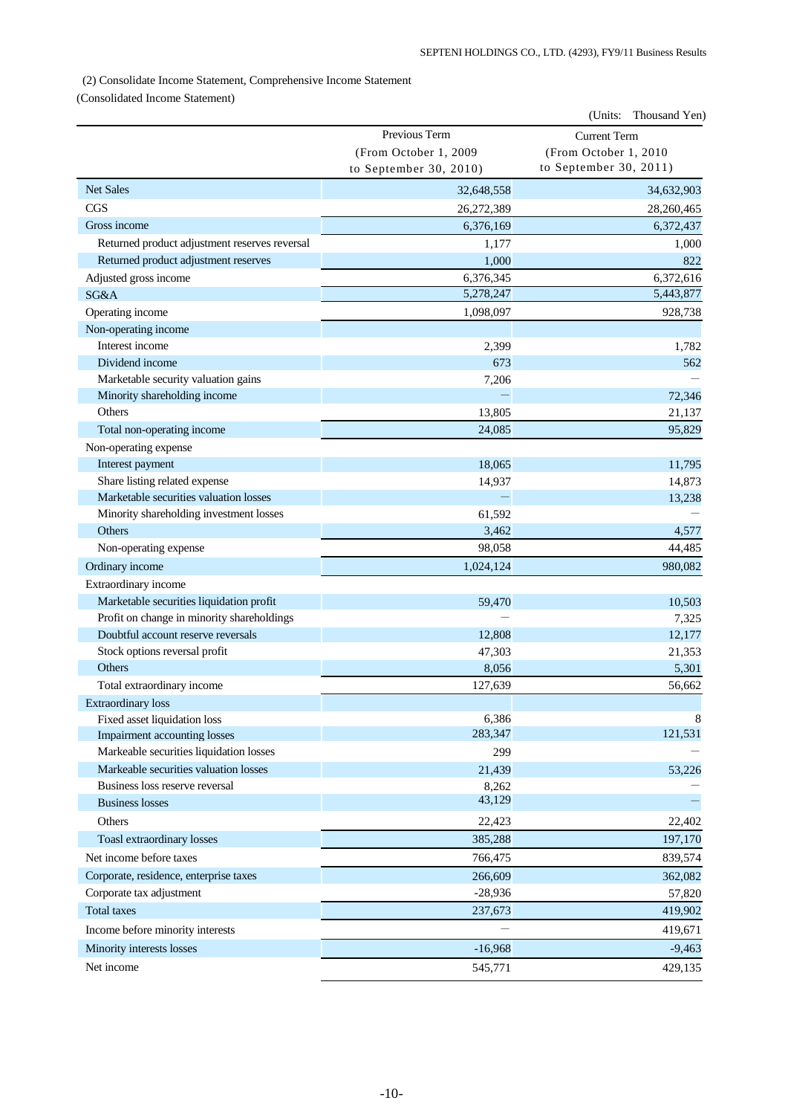## (2) Consolidate Income Statement, Comprehensive Income Statement

(Consolidated Income Statement)

|                                                                         |                        | (Units: Thousand Yen)  |
|-------------------------------------------------------------------------|------------------------|------------------------|
|                                                                         | Previous Term          | <b>Current Term</b>    |
|                                                                         | (From October 1, 2009  | (From October 1, 2010  |
|                                                                         | to September 30, 2010) | to September 30, 2011) |
| <b>Net Sales</b>                                                        | 32,648,558             | 34,632,903             |
| <b>CGS</b>                                                              | 26,272,389             | 28,260,465             |
| Gross income                                                            | 6,376,169              | 6,372,437              |
| Returned product adjustment reserves reversal                           | 1,177                  | 1,000                  |
| Returned product adjustment reserves                                    | 1,000                  | 822                    |
| Adjusted gross income                                                   | 6,376,345              | 6,372,616              |
| SG&A                                                                    | 5,278,247              | 5,443,877              |
| Operating income                                                        | 1,098,097              | 928,738                |
| Non-operating income                                                    |                        |                        |
| Interest income                                                         | 2,399                  | 1,782                  |
| Dividend income                                                         | 673                    | 562                    |
| Marketable security valuation gains                                     | 7,206                  |                        |
| Minority shareholding income                                            |                        | 72,346                 |
| Others                                                                  | 13,805                 | 21,137                 |
| Total non-operating income                                              | 24,085                 | 95,829                 |
| Non-operating expense                                                   |                        |                        |
| Interest payment                                                        | 18,065                 | 11,795                 |
| Share listing related expense                                           | 14,937                 | 14,873                 |
| Marketable securities valuation losses                                  |                        | 13,238                 |
| Minority shareholding investment losses                                 | 61,592                 |                        |
| <b>Others</b>                                                           | 3,462                  | 4,577                  |
| Non-operating expense                                                   | 98,058                 | 44,485                 |
| Ordinary income                                                         | 1,024,124              | 980,082                |
| Extraordinary income                                                    |                        |                        |
| Marketable securities liquidation profit                                | 59,470                 | 10,503                 |
| Profit on change in minority shareholdings                              |                        | 7,325                  |
| Doubtful account reserve reversals                                      | 12,808                 | 12,177                 |
| Stock options reversal profit                                           | 47,303                 | 21,353                 |
| <b>Others</b>                                                           | 8,056                  | 5,301                  |
| Total extraordinary income                                              | 127,639                | 56,662                 |
| <b>Extraordinary</b> loss                                               |                        |                        |
| Fixed asset liquidation loss                                            | 6,386<br>283,347       | 8<br>121,531           |
| Impairment accounting losses<br>Markeable securities liquidation losses |                        |                        |
| Markeable securities valuation losses                                   | 299                    |                        |
| Business loss reserve reversal                                          | 21,439<br>8,262        | 53,226                 |
| <b>Business losses</b>                                                  | 43,129                 |                        |
| Others                                                                  |                        |                        |
|                                                                         | 22,423                 | 22,402                 |
| Toasl extraordinary losses                                              | 385,288                | 197,170                |
| Net income before taxes                                                 | 766,475                | 839,574                |
| Corporate, residence, enterprise taxes                                  | 266,609                | 362,082                |
| Corporate tax adjustment                                                | $-28,936$              | 57,820                 |
| <b>Total taxes</b>                                                      | 237,673                | 419,902                |
| Income before minority interests                                        |                        | 419,671                |
| Minority interests losses                                               | $-16,968$              | $-9,463$               |
| Net income                                                              | 545,771                | 429,135                |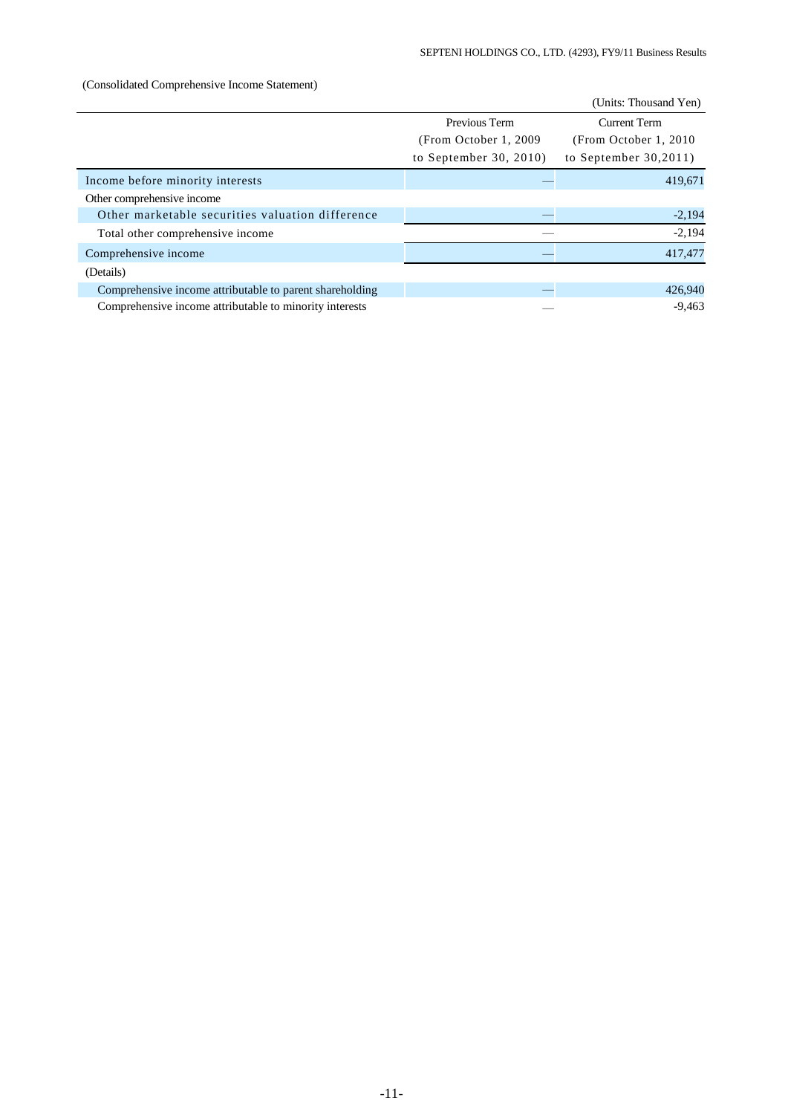## (Consolidated Comprehensive Income Statement)

|                                                          |                        | (Units: Thousand Yen)  |  |
|----------------------------------------------------------|------------------------|------------------------|--|
|                                                          | Previous Term          | <b>Current Term</b>    |  |
|                                                          | (From October 1, 2009) | (From October 1, 2010) |  |
|                                                          | to September 30, 2010) | to September $30,2011$ |  |
| Income before minority interests                         |                        | 419,671                |  |
| Other comprehensive income                               |                        |                        |  |
| Other marketable securities valuation difference         |                        | $-2,194$               |  |
| Total other comprehensive income                         |                        | $-2,194$               |  |
| Comprehensive income                                     |                        | 417,477                |  |
| (Details)                                                |                        |                        |  |
| Comprehensive income attributable to parent shareholding |                        | 426,940                |  |
| Comprehensive income attributable to minority interests  |                        | $-9,463$               |  |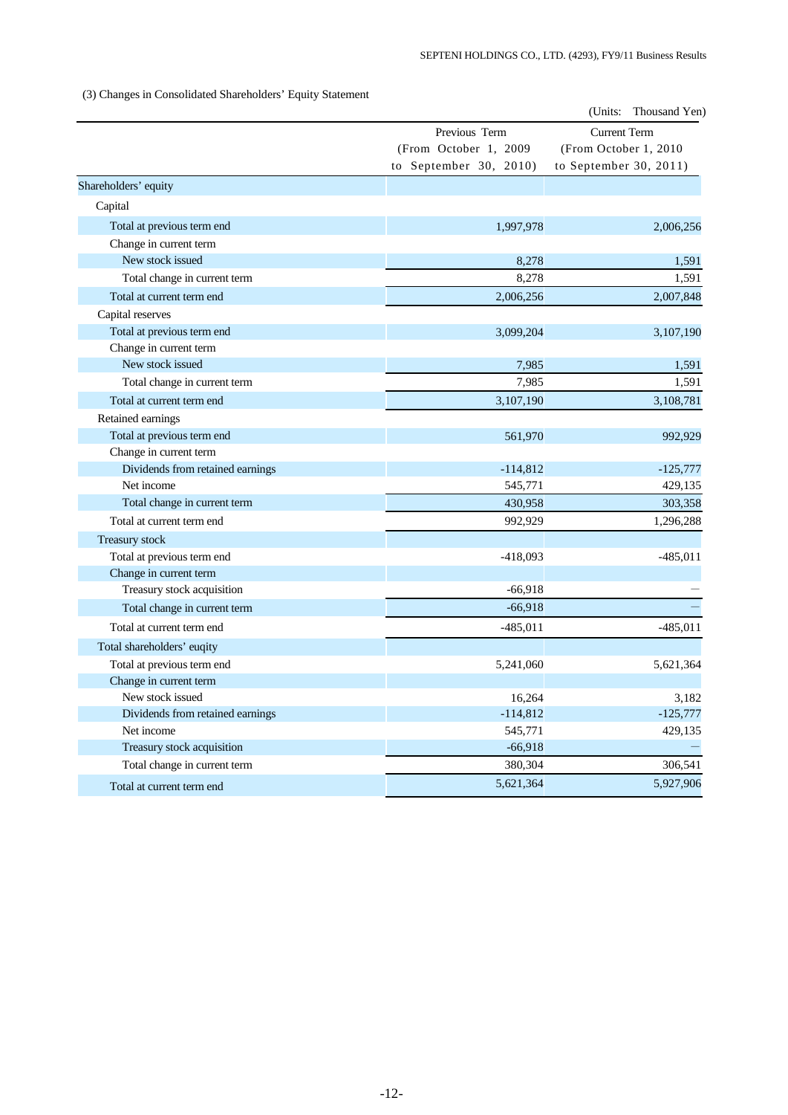(3) Changes in Consolidated Shareholders' Equity Statement

|                                  |                        | (Units:<br>Thousand Yen) |  |  |
|----------------------------------|------------------------|--------------------------|--|--|
|                                  | Previous Term          | <b>Current Term</b>      |  |  |
|                                  | (From October 1, 2009  | (From October 1, 2010)   |  |  |
|                                  | to September 30, 2010) | to September 30, 2011)   |  |  |
| Shareholders' equity             |                        |                          |  |  |
| Capital                          |                        |                          |  |  |
| Total at previous term end       | 1,997,978              | 2,006,256                |  |  |
| Change in current term           |                        |                          |  |  |
| New stock issued                 | 8,278                  | 1,591                    |  |  |
| Total change in current term     | 8,278                  | 1,591                    |  |  |
| Total at current term end        | 2,006,256              | 2,007,848                |  |  |
| Capital reserves                 |                        |                          |  |  |
| Total at previous term end       | 3,099,204              | 3,107,190                |  |  |
| Change in current term           |                        |                          |  |  |
| New stock issued                 | 7,985                  | 1,591                    |  |  |
| Total change in current term     | 7,985                  | 1,591                    |  |  |
| Total at current term end        | 3,107,190              | 3,108,781                |  |  |
| Retained earnings                |                        |                          |  |  |
| Total at previous term end       | 561,970                | 992,929                  |  |  |
| Change in current term           |                        |                          |  |  |
| Dividends from retained earnings | $-114,812$             | $-125,777$               |  |  |
| Net income                       | 545,771                | 429,135                  |  |  |
| Total change in current term     | 430,958                | 303,358                  |  |  |
| Total at current term end        | 992,929                | 1,296,288                |  |  |
| Treasury stock                   |                        |                          |  |  |
| Total at previous term end       | $-418,093$             | $-485,011$               |  |  |
| Change in current term           |                        |                          |  |  |
| Treasury stock acquisition       | $-66,918$              |                          |  |  |
| Total change in current term     | $-66,918$              |                          |  |  |
| Total at current term end        | $-485,011$             | $-485,011$               |  |  |
| Total shareholders' euqity       |                        |                          |  |  |
| Total at previous term end       | 5,241,060              | 5,621,364                |  |  |
| Change in current term           |                        |                          |  |  |
| New stock issued                 | 16,264                 | 3,182                    |  |  |
| Dividends from retained earnings | $-114,812$             | $-125,777$               |  |  |
| Net income                       | 545,771                | 429,135                  |  |  |
| Treasury stock acquisition       | $-66,918$              |                          |  |  |
| Total change in current term     | 380,304                | 306,541                  |  |  |
| Total at current term end        | 5,621,364              | 5,927,906                |  |  |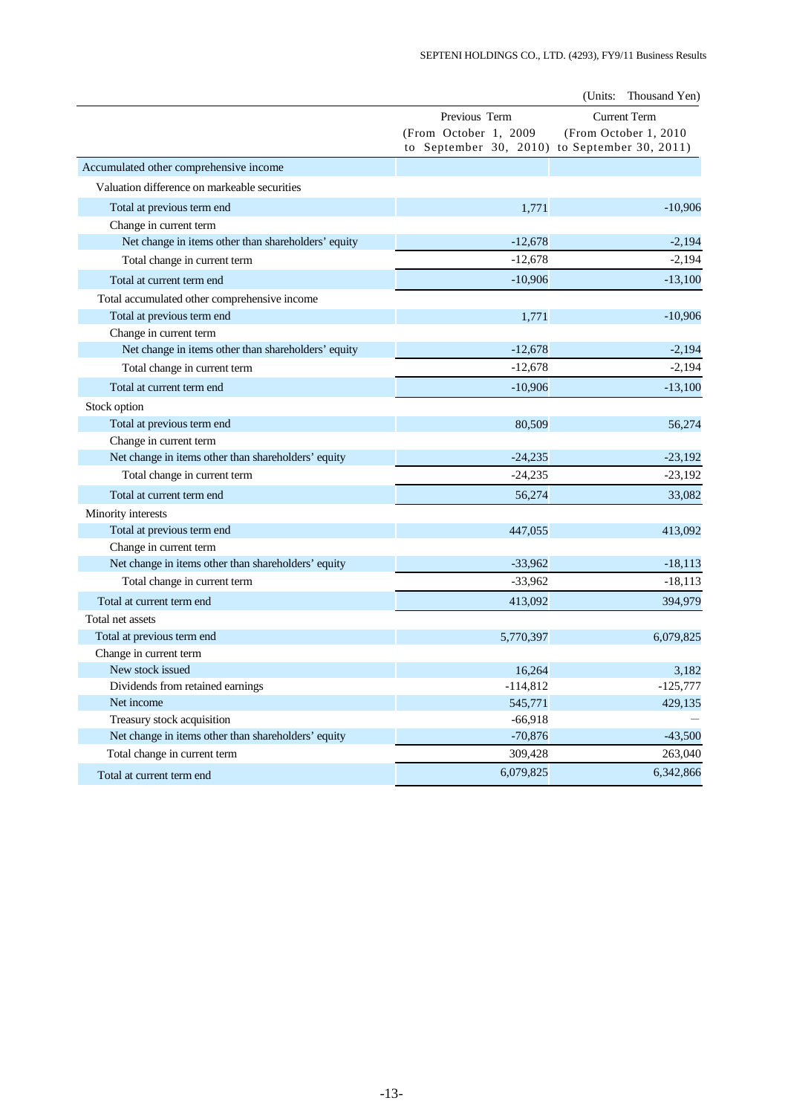|                                                     |                                               | (Units:<br>Thousand Yen) |
|-----------------------------------------------------|-----------------------------------------------|--------------------------|
|                                                     | Previous Term                                 | <b>Current Term</b>      |
|                                                     | (From October 1, 2009                         | (From October 1, 2010)   |
|                                                     | to September 30, 2010) to September 30, 2011) |                          |
| Accumulated other comprehensive income              |                                               |                          |
| Valuation difference on markeable securities        |                                               |                          |
| Total at previous term end                          | 1,771                                         | $-10,906$                |
| Change in current term                              |                                               |                          |
| Net change in items other than shareholders' equity | $-12,678$                                     | $-2,194$                 |
| Total change in current term                        | $-12,678$                                     | $-2,194$                 |
| Total at current term end                           | $-10,906$                                     | $-13,100$                |
| Total accumulated other comprehensive income        |                                               |                          |
| Total at previous term end                          | 1,771                                         | $-10,906$                |
| Change in current term                              |                                               |                          |
| Net change in items other than shareholders' equity | $-12,678$                                     | $-2,194$                 |
| Total change in current term                        | $-12,678$                                     | $-2,194$                 |
| Total at current term end                           | $-10,906$                                     | $-13,100$                |
| Stock option                                        |                                               |                          |
| Total at previous term end                          | 80,509                                        | 56,274                   |
| Change in current term                              |                                               |                          |
| Net change in items other than shareholders' equity | $-24,235$                                     | $-23,192$                |
| Total change in current term                        | $-24,235$                                     | $-23,192$                |
| Total at current term end                           | 56,274                                        | 33,082                   |
| Minority interests                                  |                                               |                          |
| Total at previous term end                          | 447,055                                       | 413,092                  |
| Change in current term                              |                                               |                          |
| Net change in items other than shareholders' equity | $-33,962$                                     | $-18,113$                |
| Total change in current term                        | $-33,962$                                     | $-18,113$                |
| Total at current term end                           | 413,092                                       | 394,979                  |
| Total net assets                                    |                                               |                          |
| Total at previous term end                          | 5,770,397                                     | 6,079,825                |
| Change in current term                              |                                               |                          |
| New stock issued                                    | 16,264                                        | 3,182                    |
| Dividends from retained earnings                    | $-114,812$                                    | $-125,777$               |
| Net income                                          | 545,771                                       | 429,135                  |
| Treasury stock acquisition                          | $-66,918$                                     |                          |
| Net change in items other than shareholders' equity | $-70,876$                                     | $-43,500$                |
| Total change in current term                        | 309,428                                       | 263,040                  |
| Total at current term end                           | 6,079,825                                     | 6,342,866                |
|                                                     |                                               |                          |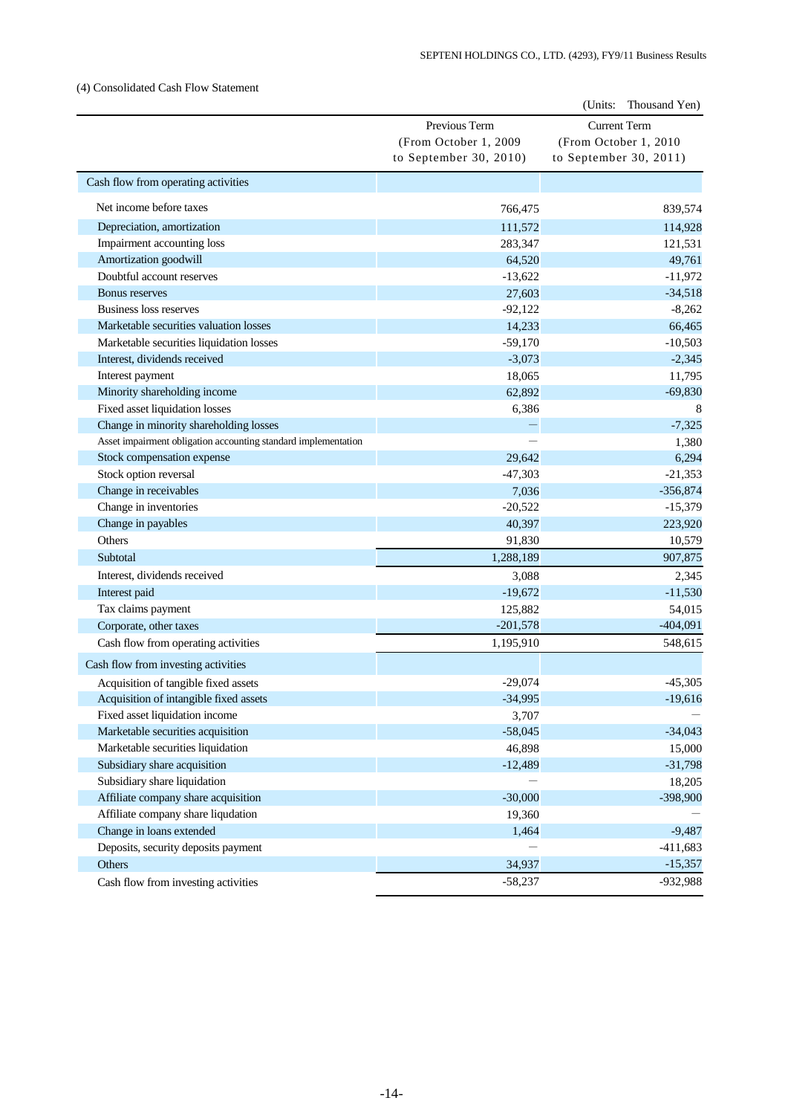## (4) Consolidated Cash Flow Statement

|                                                                |                        | (Units:<br>Thousand Yen) |
|----------------------------------------------------------------|------------------------|--------------------------|
|                                                                | Previous Term          | <b>Current Term</b>      |
|                                                                | (From October 1, 2009  | (From October 1, 2010    |
|                                                                | to September 30, 2010) | to September 30, 2011)   |
| Cash flow from operating activities                            |                        |                          |
| Net income before taxes                                        | 766,475                | 839,574                  |
| Depreciation, amortization                                     | 111,572                | 114,928                  |
| Impairment accounting loss                                     | 283,347                | 121,531                  |
| Amortization goodwill                                          | 64,520                 | 49,761                   |
| Doubtful account reserves                                      | $-13,622$              | $-11,972$                |
| <b>Bonus</b> reserves                                          | 27,603                 | $-34,518$                |
| Business loss reserves                                         | $-92,122$              | $-8,262$                 |
| Marketable securities valuation losses                         | 14,233                 | 66,465                   |
| Marketable securities liquidation losses                       | $-59,170$              | $-10,503$                |
| Interest, dividends received                                   | $-3,073$               | $-2,345$                 |
| Interest payment                                               | 18,065                 | 11,795                   |
| Minority shareholding income                                   | 62,892                 | $-69,830$                |
| Fixed asset liquidation losses                                 | 6,386                  | 8                        |
| Change in minority shareholding losses                         |                        | $-7,325$                 |
| Asset impairment obligation accounting standard implementation |                        | 1,380                    |
| Stock compensation expense                                     | 29,642                 | 6,294                    |
| Stock option reversal                                          | $-47,303$              | $-21,353$                |
| Change in receivables                                          | 7,036                  | $-356,874$               |
| Change in inventories                                          | $-20,522$              | $-15,379$                |
| Change in payables                                             | 40,397                 | 223,920                  |
| Others                                                         | 91,830                 | 10,579                   |
| Subtotal                                                       | 1,288,189              | 907,875                  |
| Interest, dividends received                                   | 3,088                  | 2,345                    |
| Interest paid                                                  | $-19,672$              | $-11,530$                |
| Tax claims payment                                             | 125,882                | 54,015                   |
| Corporate, other taxes                                         | $-201,578$             | $-404,091$               |
| Cash flow from operating activities                            | 1,195,910              | 548,615                  |
| Cash flow from investing activities                            |                        |                          |
| Acquisition of tangible fixed assets                           | $-29,074$              | $-45,305$                |
| Acquisition of intangible fixed assets                         | $-34,995$              | $-19,616$                |
| Fixed asset liquidation income                                 | 3,707                  |                          |
| Marketable securities acquisition                              | $-58,045$              | $-34,043$                |
| Marketable securities liquidation                              | 46,898                 | 15,000                   |
| Subsidiary share acquisition                                   | $-12,489$              | $-31,798$                |
| Subsidiary share liquidation                                   |                        | 18,205                   |
| Affiliate company share acquisition                            | $-30,000$              | -398,900                 |
| Affiliate company share liqudation                             | 19,360                 |                          |
| Change in loans extended                                       | 1,464                  | $-9,487$                 |
| Deposits, security deposits payment                            |                        | $-411,683$               |
| Others                                                         | 34,937                 | $-15,357$                |
| Cash flow from investing activities                            | $-58,237$              | -932,988                 |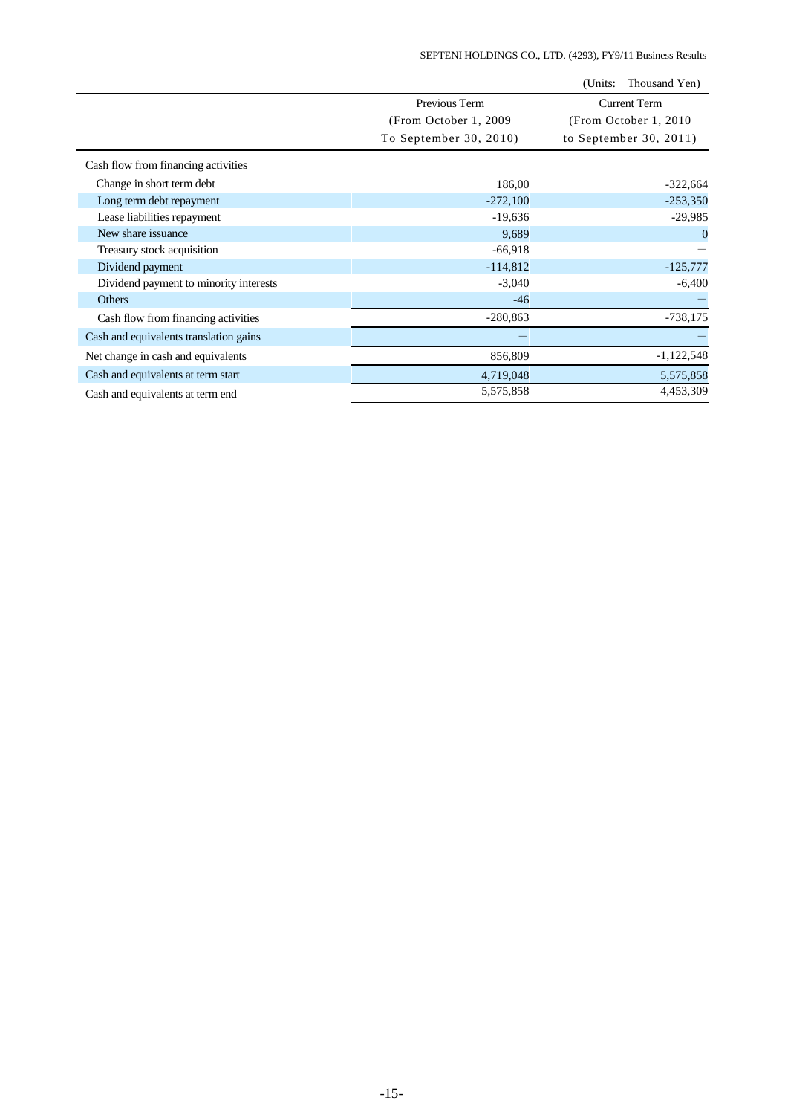|                                        |                        | (Units:<br>Thousand Yen) |
|----------------------------------------|------------------------|--------------------------|
|                                        | Previous Term          | <b>Current Term</b>      |
|                                        | (From October 1, 2009) | (From October 1, 2010)   |
|                                        | To September 30, 2010) | to September 30, 2011)   |
| Cash flow from financing activities    |                        |                          |
| Change in short term debt              | 186,00                 | $-322,664$               |
| Long term debt repayment               | $-272,100$             | $-253,350$               |
| Lease liabilities repayment            | $-19,636$              | $-29,985$                |
| New share issuance                     | 9,689                  | $\mathbf{0}$             |
| Treasury stock acquisition             | $-66,918$              |                          |
| Dividend payment                       | $-114,812$             | $-125,777$               |
| Dividend payment to minority interests | $-3,040$               | $-6,400$                 |
| <b>Others</b>                          | $-46$                  |                          |
| Cash flow from financing activities    | $-280,863$             | $-738,175$               |
| Cash and equivalents translation gains |                        |                          |
| Net change in cash and equivalents     | 856,809                | $-1,122,548$             |
| Cash and equivalents at term start     | 4,719,048              | 5,575,858                |
| Cash and equivalents at term end       | 5,575,858              | 4,453,309                |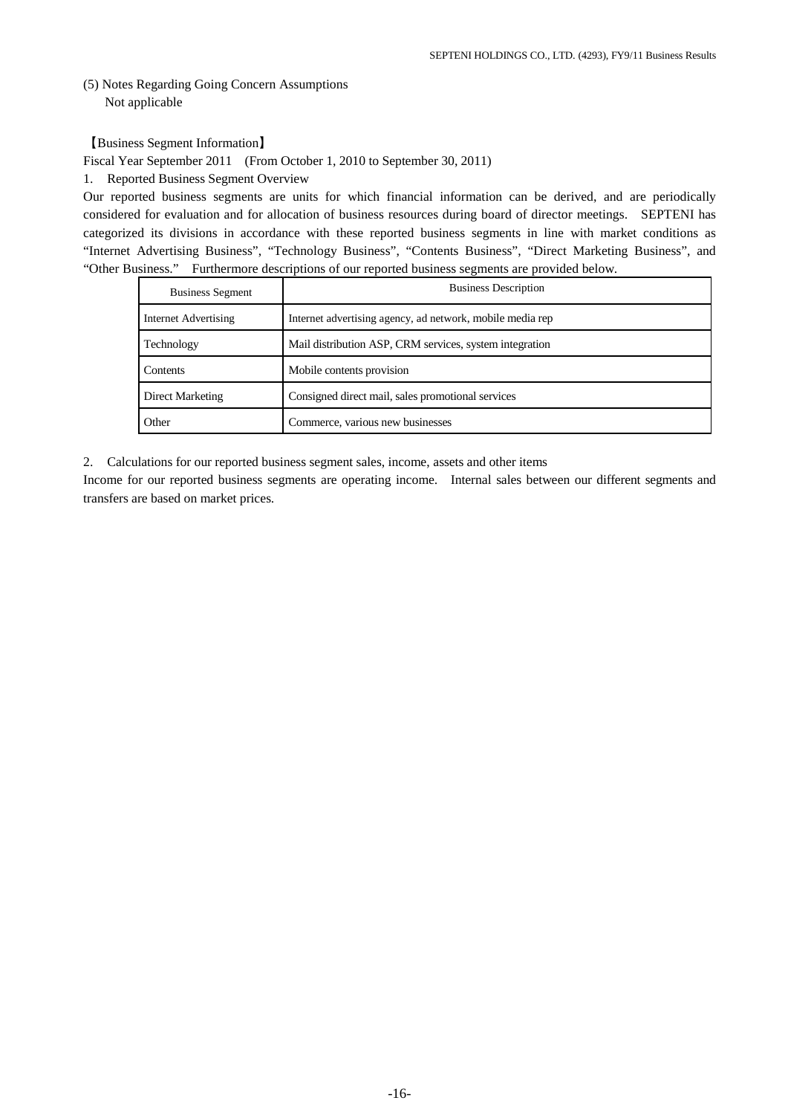# (5) Notes Regarding Going Concern Assumptions Not applicable

【Business Segment Information】

Fiscal Year September 2011 (From October 1, 2010 to September 30, 2011)

1. Reported Business Segment Overview

Our reported business segments are units for which financial information can be derived, and are periodically considered for evaluation and for allocation of business resources during board of director meetings. SEPTENI has categorized its divisions in accordance with these reported business segments in line with market conditions as "Internet Advertising Business", "Technology Business", "Contents Business", "Direct Marketing Business", and "Other Business." Furthermore descriptions of our reported business segments are provided below.

| <b>Business Segment</b> | <b>Business Description</b>                               |
|-------------------------|-----------------------------------------------------------|
| Internet Advertising    | Internet advertising agency, ad network, mobile media rep |
| Technology              | Mail distribution ASP, CRM services, system integration   |
| Contents                | Mobile contents provision                                 |
| Direct Marketing        | Consigned direct mail, sales promotional services         |
| Other                   | Commerce, various new businesses                          |

2. Calculations for our reported business segment sales, income, assets and other items

Income for our reported business segments are operating income. Internal sales between our different segments and transfers are based on market prices.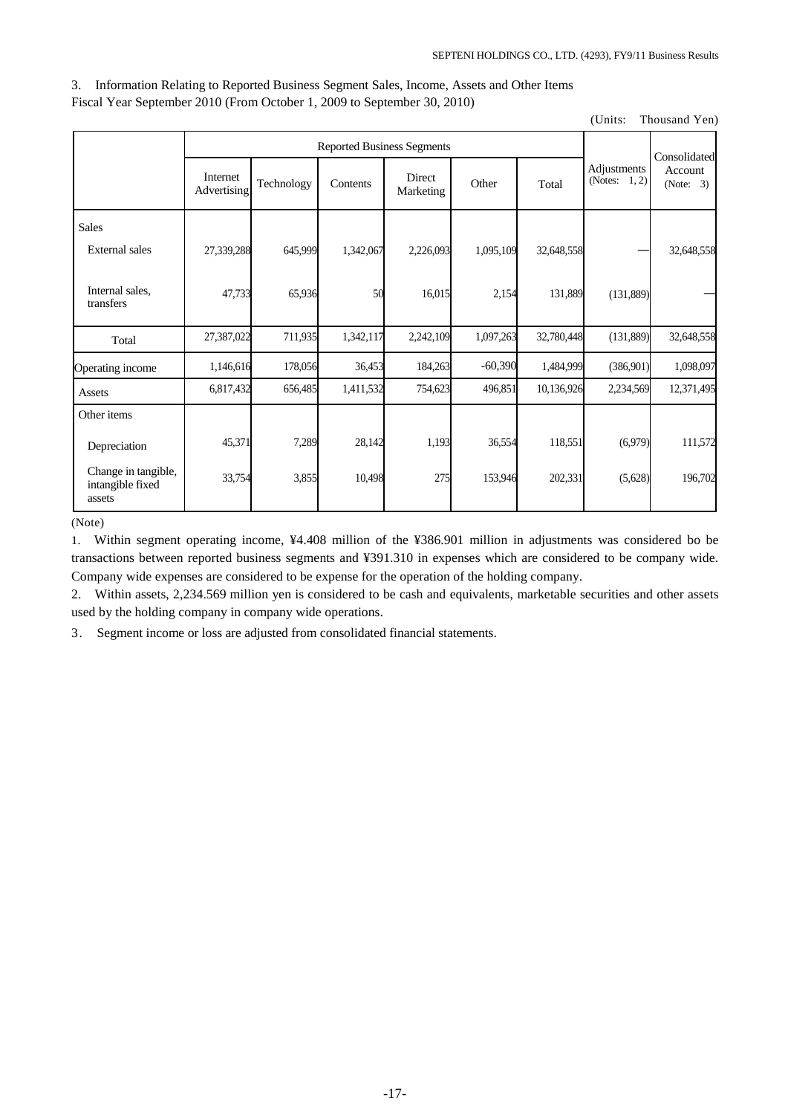3. Information Relating to Reported Business Segment Sales, Income, Assets and Other Items Fiscal Year September 2010 (From October 1, 2009 to September 30, 2010)

(Units: Thousand Yen)

|                                                   | <b>Reported Business Segments</b> |            |           |                     |           |            | Consolidated                    |                      |
|---------------------------------------------------|-----------------------------------|------------|-----------|---------------------|-----------|------------|---------------------------------|----------------------|
|                                                   | Internet<br>Advertising           | Technology | Contents  | Direct<br>Marketing | Other     | Total      | Adjustments<br>(Notes: $1, 2$ ) | Account<br>(Note: 3) |
| <b>Sales</b>                                      |                                   |            |           |                     |           |            |                                 |                      |
| <b>External</b> sales                             | 27,339,288                        | 645,999    | 1,342,067 | 2,226,093           | 1,095,109 | 32,648,558 |                                 | 32,648,558           |
| Internal sales,<br>transfers                      | 47,733                            | 65,936     | 50        | 16,015              | 2,154     | 131,889    | (131, 889)                      |                      |
| Total                                             | 27,387,022                        | 711,935    | 1,342,117 | 2,242,109           | 1,097,263 | 32,780,448 | (131, 889)                      | 32,648,558           |
| Operating income                                  | 1,146,616                         | 178,056    | 36,453    | 184,263             | $-60,390$ | 1,484,999  | (386, 901)                      | 1,098,097            |
| Assets                                            | 6,817,432                         | 656,485    | 1,411,532 | 754,623             | 496,851   | 10,136,926 | 2,234,569                       | 12,371,495           |
| Other items                                       |                                   |            |           |                     |           |            |                                 |                      |
| Depreciation                                      | 45,371                            | 7,289      | 28,142    | 1,193               | 36,554    | 118,551    | (6,979)                         | 111,572              |
| Change in tangible,<br>intangible fixed<br>assets | 33,754                            | 3,855      | 10,498    | 275                 | 153,946   | 202,331    | (5,628)                         | 196,702              |

(Note)

1. Within segment operating income, ¥4.408 million of the ¥386.901 million in adjustments was considered bo be transactions between reported business segments and ¥391.310 in expenses which are considered to be company wide. Company wide expenses are considered to be expense for the operation of the holding company.

2. Within assets, 2,234.569 million yen is considered to be cash and equivalents, marketable securities and other assets used by the holding company in company wide operations.

3. Segment income or loss are adjusted from consolidated financial statements.